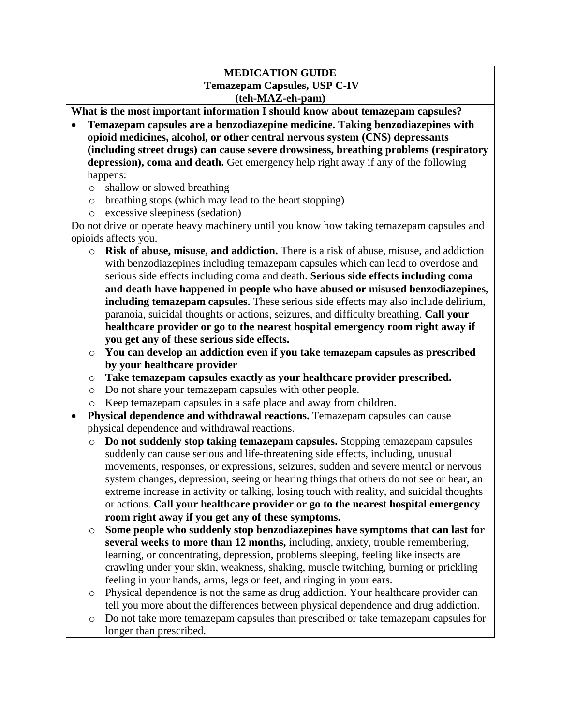#### **MEDICATION GUIDE Temazepam Capsules, USP C-IV (teh-MAZ-eh-pam)**

**What is the most important information I should know about temazepam capsules?**

- **Temazepam capsules are a benzodiazepine medicine. Taking benzodiazepines with opioid medicines, alcohol, or other central nervous system (CNS) depressants (including street drugs) can cause severe drowsiness, breathing problems (respiratory depression), coma and death.** Get emergency help right away if any of the following happens:
	- o shallow or slowed breathing
	- o breathing stops (which may lead to the heart stopping)
	- o excessive sleepiness (sedation)

Do not drive or operate heavy machinery until you know how taking temazepam capsules and opioids affects you.

- o **Risk of abuse, misuse, and addiction.** There is a risk of abuse, misuse, and addiction with benzodiazepines including temazepam capsules which can lead to overdose and serious side effects including coma and death. **Serious side effects including coma and death have happened in people who have abused or misused benzodiazepines, including temazepam capsules.** These serious side effects may also include delirium, paranoia, suicidal thoughts or actions, seizures, and difficulty breathing. **Call your healthcare provider or go to the nearest hospital emergency room right away if you get any of these serious side effects.**
- o **You can develop an addiction even if you take temazepam capsules as prescribed by your healthcare provider**
- o **Take temazepam capsules exactly as your healthcare provider prescribed.**
- o Do not share your temazepam capsules with other people.
- o Keep temazepam capsules in a safe place and away from children.
- Physical dependence and withdrawal reactions. Temazepam capsules can cause physical dependence and withdrawal reactions.
	- o **Do not suddenly stop taking temazepam capsules.** Stopping temazepam capsules suddenly can cause serious and life-threatening side effects, including, unusual movements, responses, or expressions, seizures, sudden and severe mental or nervous system changes, depression, seeing or hearing things that others do not see or hear, an extreme increase in activity or talking, losing touch with reality, and suicidal thoughts or actions. **Call your healthcare provider or go to the nearest hospital emergency room right away if you get any of these symptoms.**
	- o **Some people who suddenly stop benzodiazepines have symptoms that can last for several weeks to more than 12 months,** including, anxiety, trouble remembering, learning, or concentrating, depression, problems sleeping, feeling like insects are crawling under your skin, weakness, shaking, muscle twitching, burning or prickling feeling in your hands, arms, legs or feet, and ringing in your ears.
	- o Physical dependence is not the same as drug addiction. Your healthcare provider can tell you more about the differences between physical dependence and drug addiction.
	- o Do not take more temazepam capsules than prescribed or take temazepam capsules for longer than prescribed.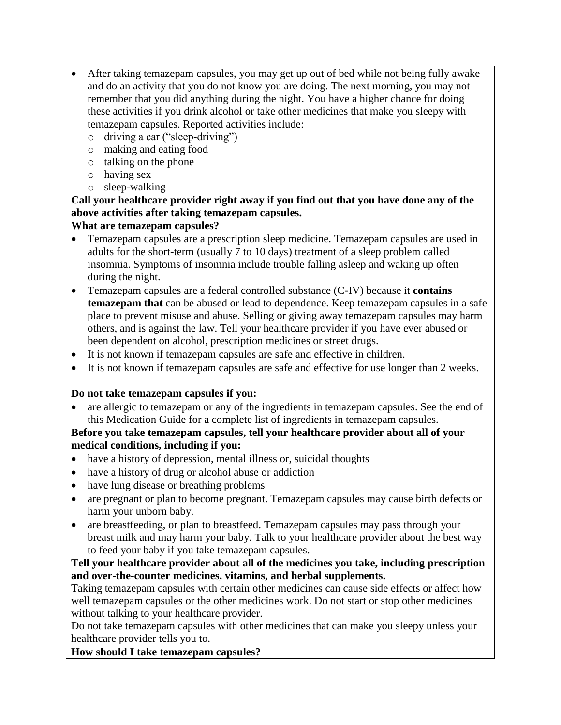- After taking temazepam capsules, you may get up out of bed while not being fully awake and do an activity that you do not know you are doing. The next morning, you may not remember that you did anything during the night. You have a higher chance for doing these activities if you drink alcohol or take other medicines that make you sleepy with temazepam capsules. Reported activities include:
	- o driving a car ("sleep-driving")
	- o making and eating food
	- o talking on the phone
	- o having sex
	- o sleep-walking

# **Call your healthcare provider right away if you find out that you have done any of the above activities after taking temazepam capsules.**

# **What are temazepam capsules?**

- Temazepam capsules are a prescription sleep medicine. Temazepam capsules are used in adults for the short-term (usually 7 to 10 days) treatment of a sleep problem called insomnia. Symptoms of insomnia include trouble falling asleep and waking up often during the night.
- Temazepam capsules are a federal controlled substance (C-IV) because it **contains temazepam that** can be abused or lead to dependence. Keep temazepam capsules in a safe place to prevent misuse and abuse. Selling or giving away temazepam capsules may harm others, and is against the law. Tell your healthcare provider if you have ever abused or been dependent on alcohol, prescription medicines or street drugs.
- It is not known if temazepam capsules are safe and effective in children.
- It is not known if temazepam capsules are safe and effective for use longer than 2 weeks.

## **Do not take temazepam capsules if you:**

• are allergic to temazepam or any of the ingredients in temazepam capsules. See the end of this Medication Guide for a complete list of ingredients in temazepam capsules.

# **Before you take temazepam capsules, tell your healthcare provider about all of your medical conditions, including if you:**

- have a history of depression, mental illness or, suicidal thoughts
- have a history of drug or alcohol abuse or addiction
- have lung disease or breathing problems
- are pregnant or plan to become pregnant. Temazepam capsules may cause birth defects or harm your unborn baby.
- are breastfeeding, or plan to breastfeed. Temazepam capsules may pass through your breast milk and may harm your baby. Talk to your healthcare provider about the best way to feed your baby if you take temazepam capsules.

# **Tell your healthcare provider about all of the medicines you take, including prescription and over-the-counter medicines, vitamins, and herbal supplements.**

Taking temazepam capsules with certain other medicines can cause side effects or affect how well temazepam capsules or the other medicines work. Do not start or stop other medicines without talking to your healthcare provider.

Do not take temazepam capsules with other medicines that can make you sleepy unless your healthcare provider tells you to.

**How should I take temazepam capsules?**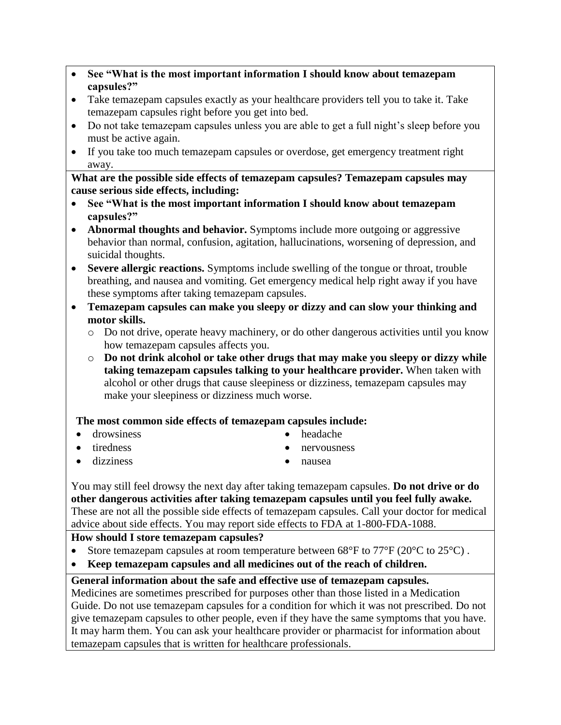- **See "What is the most important information I should know about temazepam capsules?"**
- Take temazepam capsules exactly as your healthcare providers tell you to take it. Take temazepam capsules right before you get into bed.
- Do not take temazepam capsules unless you are able to get a full night's sleep before you must be active again.
- If you take too much temazepam capsules or overdose, get emergency treatment right away.

**What are the possible side effects of temazepam capsules? Temazepam capsules may cause serious side effects, including:**

- **See "What is the most important information I should know about temazepam capsules?"**
- **Abnormal thoughts and behavior.** Symptoms include more outgoing or aggressive behavior than normal, confusion, agitation, hallucinations, worsening of depression, and suicidal thoughts.
- **Severe allergic reactions.** Symptoms include swelling of the tongue or throat, trouble breathing, and nausea and vomiting. Get emergency medical help right away if you have these symptoms after taking temazepam capsules.
- **Temazepam capsules can make you sleepy or dizzy and can slow your thinking and motor skills.** 
	- o Do not drive, operate heavy machinery, or do other dangerous activities until you know how temazepam capsules affects you.
	- o **Do not drink alcohol or take other drugs that may make you sleepy or dizzy while taking temazepam capsules talking to your healthcare provider.** When taken with alcohol or other drugs that cause sleepiness or dizziness, temazepam capsules may make your sleepiness or dizziness much worse.

## **The most common side effects of temazepam capsules include:**

- drowsiness headache
- 
- - tiredness entry entry entry entry entry entry entry entry entry entry entry entry entry entry and the nervousness
- dizziness nausea
- 

You may still feel drowsy the next day after taking temazepam capsules. **Do not drive or do other dangerous activities after taking temazepam capsules until you feel fully awake.** These are not all the possible side effects of temazepam capsules. Call your doctor for medical advice about side effects. You may report side effects to FDA at 1-800-FDA-1088.

## **How should I store temazepam capsules?**

- Store temazepam capsules at room temperature between  $68^{\circ}$ F to  $77^{\circ}$ F (20 $^{\circ}$ C to 25 $^{\circ}$ C).
- **Keep temazepam capsules and all medicines out of the reach of children.**

## **General information about the safe and effective use of temazepam capsules.**

Medicines are sometimes prescribed for purposes other than those listed in a Medication Guide. Do not use temazepam capsules for a condition for which it was not prescribed. Do not give temazepam capsules to other people, even if they have the same symptoms that you have. It may harm them. You can ask your healthcare provider or pharmacist for information about temazepam capsules that is written for healthcare professionals.